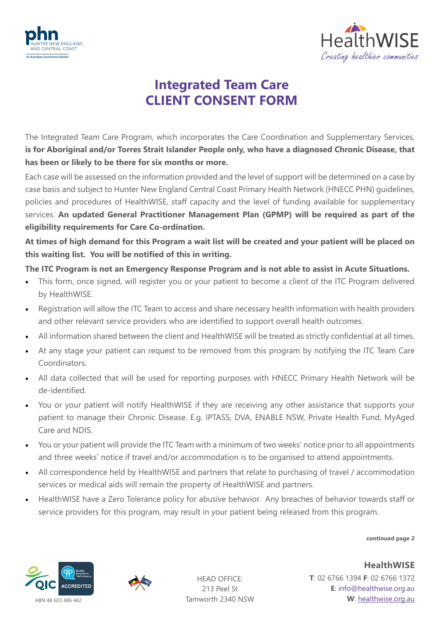



## **Integrated Team Care CLIENT CONSENT FORM**

The Integrated Team Care Program, which incorporates the Care Coordination and Supplementary Services, **is for Aboriginal and/or Torres Strait Islander People only, who have a diagnosed Chronic Disease, that has been or likely to be there for six months or more.** 

Each case will be assessed on the information provided and the level of support will be determined on a case by case basis and subject to Hunter New England Central Coast Primary Health Network (HNECC PHN) guidelines, policies and procedures of HealthWISE, staff capacity and the level of funding available for supplementary services. **An updated General Practitioner Management Plan (GPMP) will be required as part of the eligibility requirements for Care Co-ordination.** 

**At times of high demand for this Program a wait list will be created and your patient will be placed on this waiting list. You will be notified of this in writing.**

## **The ITC Program is not an Emergency Response Program and is not able to assist in Acute Situations.**

- This form, once signed, will register you or your patient to become a client of the ITC Program delivered by HealthWISE.
- Registration will allow the ITC Team to access and share necessary health information with health providers and other relevant service providers who are identified to support overall health outcomes.
- All information shared between the client and HealthWISE will be treated as strictly confidential at all times.
- At any stage your patient can request to be removed from this program by notifying the ITC Team Care Coordinators.
- All data collected that will be used for reporting purposes with HNECC Primary Health Network will be de-identified.
- You or your patient will notify HealthWISE if they are receiving any other assistance that supports your patient to manage their Chronic Disease. E.g. IPTASS, DVA, ENABLE NSW, Private Health Fund, MyAged Care and NDIS.
- You or your patient will provide the ITC Team with a minimum of two weeks' notice prior to all appointments and three weeks' notice if travel and/or accommodation is to be organised to attend appointments.
- All correspondence held by HealthWISE and partners that relate to purchasing of travel / accommodation services or medical aids will remain the property of HealthWISE and partners.
- HealthWISE have a Zero Tolerance policy for abusive behavior. Any breaches of behavior towards staff or service providers for this program, may result in your patient being released from this program.

**continued page 2**





HEAD OFFICE: 213 Peel St Tamworth 2340 NSW

**HealthWISE T**: 02 6766 1394 **F**: 02 6766 1372 **E**: info@healthwise.org.au **W**: [healthwise.org.au](https://healthwisenenw.com.au/)